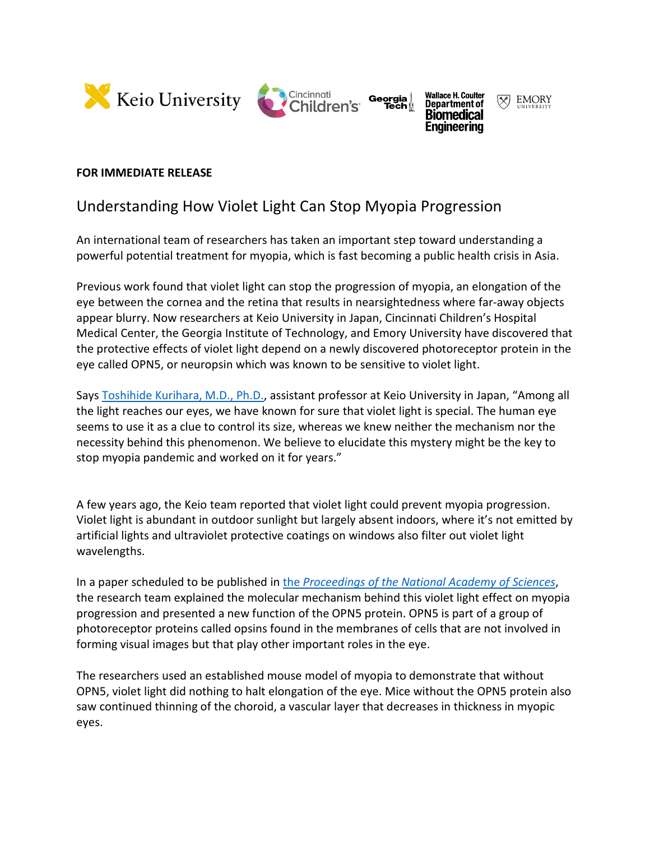



Georgia



Enaineerina

## **FOR IMMEDIATE RELEASE**

## Understanding How Violet Light Can Stop Myopia Progression

An international team of researchers has taken an important step toward understanding a powerful potential treatment for myopia, which is fast becoming a public health crisis in Asia.

Previous work found that violet light can stop the progression of myopia, an elongation of the eye between the cornea and the retina that results in nearsightedness where far-away objects appear blurry. Now researchers at Keio University in Japan, Cincinnati Children's Hospital Medical Center, the Georgia Institute of Technology, and Emory University have discovered that the protective effects of violet light depend on a newly discovered photoreceptor protein in the eye called OPN5, or neuropsin which was known to be sensitive to violet light.

Says [Toshihide Kurihara, M.D., Ph.D.,](http://lab.ophthal.med.keio.ac.jp/program/kuriharas-lab) assistant professor at Keio University in Japan, "Among all the light reaches our eyes, we have known for sure that violet light is special. The human eye seems to use it as a clue to control its size, whereas we knew neither the mechanism nor the necessity behind this phenomenon. We believe to elucidate this mystery might be the key to stop myopia pandemic and worked on it for years."

A few years ago, the Keio team reported that violet light could prevent myopia progression. Violet light is abundant in outdoor sunlight but largely absent indoors, where it's not emitted by artificial lights and ultraviolet protective coatings on windows also filter out violet light wavelengths.

In a paper scheduled to be published in the *[Proceedings of the National Academy of Sciences](https://www.pnas.org/content/118/22/e2018840118)*, the research team explained the molecular mechanism behind this violet light effect on myopia progression and presented a new function of the OPN5 protein. OPN5 is part of a group of photoreceptor proteins called opsins found in the membranes of cells that are not involved in forming visual images but that play other important roles in the eye.

The researchers used an established mouse model of myopia to demonstrate that without OPN5, violet light did nothing to halt elongation of the eye. Mice without the OPN5 protein also saw continued thinning of the choroid, a vascular layer that decreases in thickness in myopic eyes.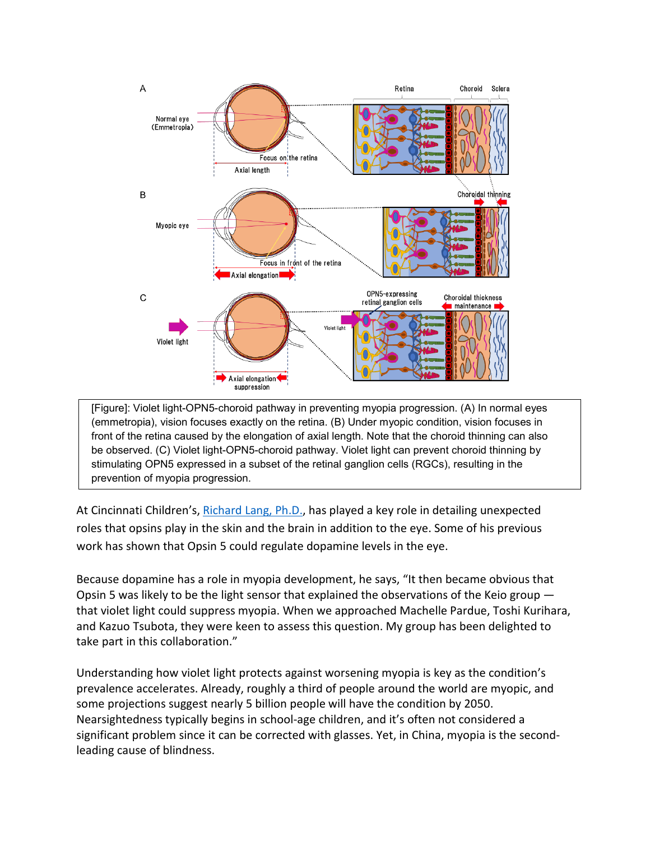

[Figure]: Violet light-OPN5-choroid pathway in preventing myopia progression. (A) In normal eyes (emmetropia), vision focuses exactly on the retina. (B) Under myopic condition, vision focuses in front of the retina caused by the elongation of axial length. Note that the choroid thinning can also be observed. (C) Violet light-OPN5-choroid pathway. Violet light can prevent choroid thinning by stimulating OPN5 expressed in a subset of the retinal ganglion cells (RGCs), resulting in the prevention of myopia progression.

At Cincinnati Children's, [Richard Lang, Ph.D.,](https://www.cincinnatichildrens.org/bio/l/richard-lang) has played a key role in detailing unexpected roles that opsins play in the skin and the brain in addition to the eye. Some of his previous work has shown that Opsin 5 could regulate dopamine levels in the eye.

Because dopamine has a role in myopia development, he says, "It then became obvious that Opsin 5 was likely to be the light sensor that explained the observations of the Keio group that violet light could suppress myopia. When we approached Machelle Pardue, Toshi Kurihara, and Kazuo Tsubota, they were keen to assess this question. My group has been delighted to take part in this collaboration."

Understanding how violet light protects against worsening myopia is key as the condition's prevalence accelerates. Already, roughly a third of people around the world are myopic, and some projections suggest nearly 5 billion people will have the condition by 2050. Nearsightedness typically begins in school-age children, and it's often not considered a significant problem since it can be corrected with glasses. Yet, in China, myopia is the secondleading cause of blindness.